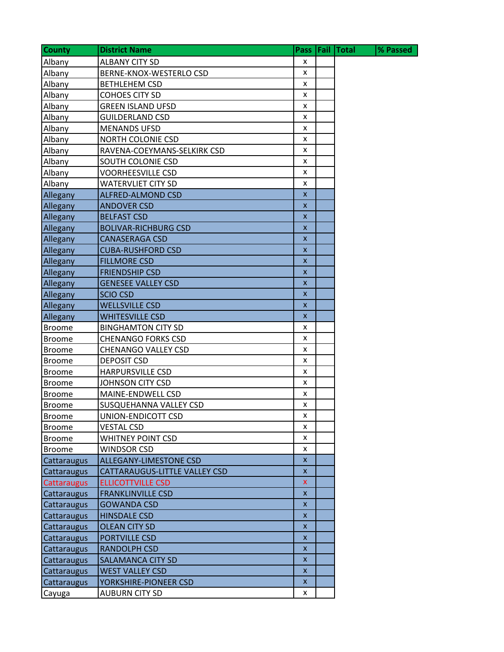| <b>County</b>      | <b>District Name</b>          | Pass                      | Fail Total | % Passed |
|--------------------|-------------------------------|---------------------------|------------|----------|
| Albany             | <b>ALBANY CITY SD</b>         | x                         |            |          |
| Albany             | BERNE-KNOX-WESTERLO CSD       | x                         |            |          |
| Albany             | <b>BETHLEHEM CSD</b>          | x                         |            |          |
| Albany             | <b>COHOES CITY SD</b>         | X                         |            |          |
| Albany             | <b>GREEN ISLAND UFSD</b>      | X                         |            |          |
| Albany             | <b>GUILDERLAND CSD</b>        | X                         |            |          |
| Albany             | <b>MENANDS UFSD</b>           | $\pmb{\mathsf{x}}$        |            |          |
| Albany             | <b>NORTH COLONIE CSD</b>      | x                         |            |          |
| Albany             | RAVENA-COEYMANS-SELKIRK CSD   | x                         |            |          |
| Albany             | SOUTH COLONIE CSD             | X                         |            |          |
| Albany             | <b>VOORHEESVILLE CSD</b>      | X                         |            |          |
| Albany             | <b>WATERVLIET CITY SD</b>     | x                         |            |          |
| Allegany           | ALFRED-ALMOND CSD             | $\boldsymbol{\mathsf{x}}$ |            |          |
| Allegany           | <b>ANDOVER CSD</b>            | $\pmb{\mathsf{x}}$        |            |          |
| Allegany           | <b>BELFAST CSD</b>            | $\mathsf{x}$              |            |          |
| Allegany           | <b>BOLIVAR-RICHBURG CSD</b>   | $\pmb{\mathsf{X}}$        |            |          |
| Allegany           | <b>CANASERAGA CSD</b>         | $\pmb{\mathsf{x}}$        |            |          |
| Allegany           | <b>CUBA-RUSHFORD CSD</b>      | $\pmb{\mathsf{X}}$        |            |          |
| Allegany           | <b>FILLMORE CSD</b>           | X                         |            |          |
| Allegany           | <b>FRIENDSHIP CSD</b>         | X                         |            |          |
| Allegany           | <b>GENESEE VALLEY CSD</b>     | $\pmb{\times}$            |            |          |
| Allegany           | <b>SCIO CSD</b>               | $\mathsf{x}$              |            |          |
| Allegany           | <b>WELLSVILLE CSD</b>         | X                         |            |          |
| Allegany           | <b>WHITESVILLE CSD</b>        | $\mathsf{x}$              |            |          |
| <b>Broome</b>      | <b>BINGHAMTON CITY SD</b>     | x                         |            |          |
| <b>Broome</b>      | <b>CHENANGO FORKS CSD</b>     | x                         |            |          |
| <b>Broome</b>      | <b>CHENANGO VALLEY CSD</b>    | x                         |            |          |
| <b>Broome</b>      | <b>DEPOSIT CSD</b>            | x                         |            |          |
| <b>Broome</b>      | <b>HARPURSVILLE CSD</b>       | X                         |            |          |
| <b>Broome</b>      | JOHNSON CITY CSD              | X                         |            |          |
| <b>Broome</b>      | MAINE-ENDWELL CSD             | x                         |            |          |
| <b>Broome</b>      | SUSQUEHANNA VALLEY CSD        | x                         |            |          |
| <b>Broome</b>      | UNION-ENDICOTT CSD            | x                         |            |          |
| <b>Broome</b>      | <b>VESTAL CSD</b>             | x                         |            |          |
| <b>Broome</b>      | WHITNEY POINT CSD             | X                         |            |          |
| <b>Broome</b>      | <b>WINDSOR CSD</b>            | x                         |            |          |
| Cattaraugus        | <b>ALLEGANY-LIMESTONE CSD</b> | $\pmb{\mathsf{x}}$        |            |          |
| Cattaraugus        | CATTARAUGUS-LITTLE VALLEY CSD | $\pmb{\times}$            |            |          |
| <b>Cattaraugus</b> | <b>ELLICOTTVILLE CSD</b>      | $\mathsf{x}$              |            |          |
| Cattaraugus        | <b>FRANKLINVILLE CSD</b>      | $\mathsf{x}$              |            |          |
| Cattaraugus        | <b>GOWANDA CSD</b>            | $\pmb{\mathsf{x}}$        |            |          |
| Cattaraugus        | <b>HINSDALE CSD</b>           | $\pmb{\mathsf{x}}$        |            |          |
| Cattaraugus        | <b>OLEAN CITY SD</b>          | $\pmb{\mathsf{X}}$        |            |          |
| Cattaraugus        | <b>PORTVILLE CSD</b>          | $\mathsf{x}$              |            |          |
| Cattaraugus        | <b>RANDOLPH CSD</b>           | $\pmb{\mathsf{x}}$        |            |          |
| Cattaraugus        | <b>SALAMANCA CITY SD</b>      | $\pmb{\mathsf{x}}$        |            |          |
| Cattaraugus        | <b>WEST VALLEY CSD</b>        | $\pmb{\mathsf{X}}$        |            |          |
| Cattaraugus        | YORKSHIRE-PIONEER CSD         | X                         |            |          |
| Cayuga             | AUBURN CITY SD                | X                         |            |          |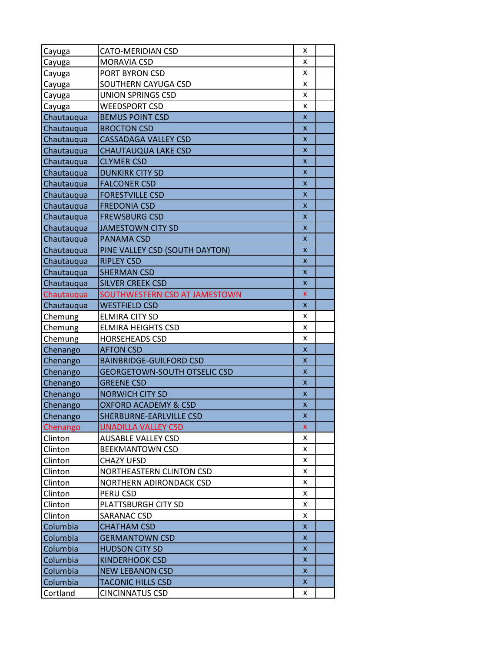| Cayuga        | CATO-MERIDIAN CSD                   | x                         |  |
|---------------|-------------------------------------|---------------------------|--|
| Cayuga        | MORAVIA CSD                         | x                         |  |
| <u>Cayuga</u> | PORT BYRON CSD                      | x                         |  |
| <u>Cayuga</u> | SOUTHERN CAYUGA CSD                 | x                         |  |
| Cayuga        | <b>UNION SPRINGS CSD</b>            | x                         |  |
| Cayuga        | <b>WEEDSPORT CSD</b>                | x                         |  |
| Chautauqua    | <b>BEMUS POINT CSD</b>              | $\mathsf{x}$              |  |
| Chautauqua    | <b>BROCTON CSD</b>                  | $\mathsf{x}$              |  |
| Chautauqua    | <b>CASSADAGA VALLEY CSD</b>         | X                         |  |
| Chautauqua    | <b>CHAUTAUQUA LAKE CSD</b>          | $\pmb{\mathsf{X}}$        |  |
| Chautauqua    | <b>CLYMER CSD</b>                   | X                         |  |
| Chautauqua    | <b>DUNKIRK CITY SD</b>              | X                         |  |
| Chautauqua    | <b>FALCONER CSD</b>                 | X                         |  |
| Chautauqua    | <b>FORESTVILLE CSD</b>              | $\pmb{\mathsf{X}}$        |  |
| Chautauqua    | <b>FREDONIA CSD</b>                 | X                         |  |
| Chautauqua    | <b>FREWSBURG CSD</b>                | $\boldsymbol{\mathsf{x}}$ |  |
| Chautauqua    | <b>JAMESTOWN CITY SD</b>            | $\boldsymbol{\mathsf{x}}$ |  |
| Chautauqua    | <b>PANAMA CSD</b>                   | $\pmb{\mathsf{X}}$        |  |
| Chautauqua    | PINE VALLEY CSD (SOUTH DAYTON)      | X                         |  |
| Chautauqua    | <b>RIPLEY CSD</b>                   | X                         |  |
| Chautauqua    | <b>SHERMAN CSD</b>                  | $\mathsf{x}$              |  |
| Chautauqua    | <b>SILVER CREEK CSD</b>             | X                         |  |
| Chautauqua    | SOUTHWESTERN CSD AT JAMESTOWN       | $\pmb{\mathsf{X}}$        |  |
| Chautauqua    | <b>WESTFIELD CSD</b>                | $\boldsymbol{\mathsf{x}}$ |  |
| Chemung       | <b>ELMIRA CITY SD</b>               | x                         |  |
| Chemung       | <b>ELMIRA HEIGHTS CSD</b>           | x                         |  |
| Chemung       | <b>HORSEHEADS CSD</b>               | x                         |  |
| Chenango      | <b>AFTON CSD</b>                    | X                         |  |
| Chenango      | <b>BAINBRIDGE-GUILFORD CSD</b>      | $\mathsf{x}$              |  |
| Chenango      | <b>GEORGETOWN-SOUTH OTSELIC CSD</b> | X                         |  |
| Chenango      | <b>GREENE CSD</b>                   | X                         |  |
| Chenango      | <b>NORWICH CITY SD</b>              | $\pmb{\mathsf{x}}$        |  |
| Chenango      | <b>OXFORD ACADEMY &amp; CSD</b>     | $\boldsymbol{\mathsf{x}}$ |  |
| Chenango      | SHERBURNE-EARLVILLE CSD             | X                         |  |
| Chenango      | <b>UNADILLA VALLEY CSD</b>          | x                         |  |
| Clinton       | <b>AUSABLE VALLEY CSD</b>           | x                         |  |
| Clinton       | <b>BEEKMANTOWN CSD</b>              | x                         |  |
| Clinton       | <b>CHAZY UFSD</b>                   | x                         |  |
| Clinton       | NORTHEASTERN CLINTON CSD            | x                         |  |
| Clinton       | NORTHERN ADIRONDACK CSD             | x                         |  |
| Clinton       | PERU CSD                            | x                         |  |
| Clinton       | PLATTSBURGH CITY SD                 | x                         |  |
| Clinton       | SARANAC CSD                         | x                         |  |
| Columbia      | <b>CHATHAM CSD</b>                  | X                         |  |
| Columbia      | <b>GERMANTOWN CSD</b>               | X                         |  |
| Columbia      | <b>HUDSON CITY SD</b>               | X                         |  |
| Columbia      | <b>KINDERHOOK CSD</b>               | X                         |  |
| Columbia      | <b>NEW LEBANON CSD</b>              | X                         |  |
| Columbia      | <b>TACONIC HILLS CSD</b>            | X                         |  |
| Cortland      | <b>CINCINNATUS CSD</b>              | x                         |  |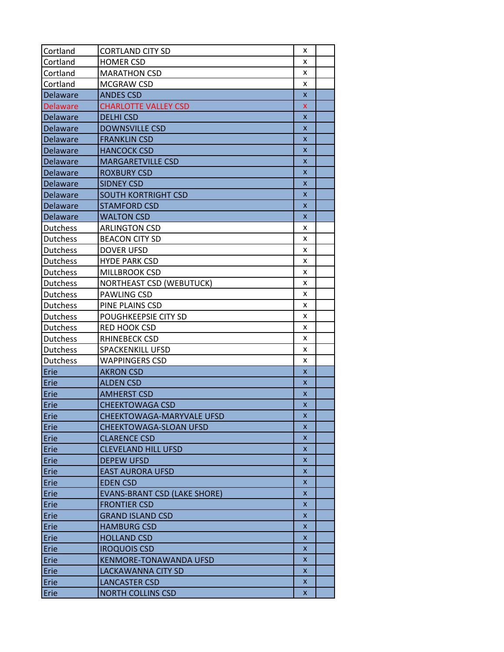| Cortland        | <b>CORTLAND CITY SD</b>             | x                         |  |
|-----------------|-------------------------------------|---------------------------|--|
| Cortland        | <b>HOMER CSD</b>                    | x                         |  |
| Cortland        | <b>MARATHON CSD</b>                 | x                         |  |
| Cortland        | MCGRAW CSD                          | x                         |  |
| Delaware        | <b>ANDES CSD</b>                    | $\boldsymbol{\mathsf{x}}$ |  |
| <b>Delaware</b> | <b>CHARLOTTE VALLEY CSD</b>         | X                         |  |
| <b>Delaware</b> | <b>DELHI CSD</b>                    | $\mathsf{x}$              |  |
| Delaware        | <b>DOWNSVILLE CSD</b>               | X                         |  |
| Delaware        | <b>FRANKLIN CSD</b>                 | $\boldsymbol{\mathsf{x}}$ |  |
| Delaware        | <b>HANCOCK CSD</b>                  | X                         |  |
| <b>Delaware</b> | <b>MARGARETVILLE CSD</b>            | X                         |  |
| <b>Delaware</b> | <b>ROXBURY CSD</b>                  | X                         |  |
| Delaware        | <b>SIDNEY CSD</b>                   | X                         |  |
| Delaware        | <b>SOUTH KORTRIGHT CSD</b>          | X                         |  |
| Delaware        | <b>STAMFORD CSD</b>                 | $\boldsymbol{\mathsf{x}}$ |  |
| Delaware        | <b>WALTON CSD</b>                   | X                         |  |
| <b>Dutchess</b> | <b>ARLINGTON CSD</b>                | x                         |  |
| <b>Dutchess</b> | <b>BEACON CITY SD</b>               | x                         |  |
| <b>Dutchess</b> | <b>DOVER UFSD</b>                   | x                         |  |
| Dutchess        | <b>HYDE PARK CSD</b>                | x                         |  |
| Dutchess        | MILLBROOK CSD                       | x                         |  |
| Dutchess        | <b>NORTHEAST CSD (WEBUTUCK)</b>     | x                         |  |
| Dutchess        | PAWLING CSD                         | x                         |  |
| Dutchess        | PINE PLAINS CSD                     | x                         |  |
| Dutchess        | POUGHKEEPSIE CITY SD                | x                         |  |
| Dutchess        | RED HOOK CSD                        | x                         |  |
| Dutchess        | RHINEBECK CSD                       | x                         |  |
| Dutchess        | <b>SPACKENKILL UFSD</b>             | x                         |  |
| Dutchess        | <b>WAPPINGERS CSD</b>               | x                         |  |
| Erie            | <b>AKRON CSD</b>                    | $\boldsymbol{\mathsf{x}}$ |  |
| Erie            | <b>ALDEN CSD</b>                    | $\boldsymbol{\mathsf{x}}$ |  |
| Erie            | <b>AMHERST CSD</b>                  | $\boldsymbol{\mathsf{x}}$ |  |
| Erie            | <b>CHEEKTOWAGA CSD</b>              | X                         |  |
| Erie            | CHEEKTOWAGA-MARYVALE UFSD           | x                         |  |
| Erie            | CHEEKTOWAGA-SLOAN UFSD              | X                         |  |
| Erie            | <b>CLARENCE CSD</b>                 | X                         |  |
| Erie            | <b>CLEVELAND HILL UFSD</b>          | X                         |  |
| Erie            | <b>DEPEW UFSD</b>                   | X                         |  |
| Erie            | <b>EAST AURORA UFSD</b>             | X                         |  |
| Erie            | <b>EDEN CSD</b>                     | X                         |  |
| Erie            | <b>EVANS-BRANT CSD (LAKE SHORE)</b> | X                         |  |
| Erie            | <b>FRONTIER CSD</b>                 | X                         |  |
| Erie            | <b>GRAND ISLAND CSD</b>             | X                         |  |
| Erie            | <b>HAMBURG CSD</b>                  | X                         |  |
| Erie            | <b>HOLLAND CSD</b>                  | X                         |  |
| Erie            | <b>IROQUOIS CSD</b>                 | $\overline{\mathsf{x}}$   |  |
| Erie            | <b>KENMORE-TONAWANDA UFSD</b>       | X                         |  |
| Erie            | <b>LACKAWANNA CITY SD</b>           | X                         |  |
| Erie            | <b>LANCASTER CSD</b>                | X                         |  |
| Erie            | <b>NORTH COLLINS CSD</b>            | X                         |  |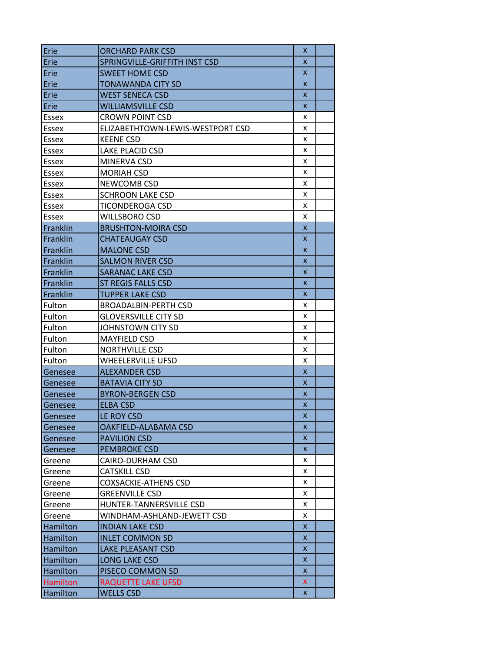| Erie     | <b>ORCHARD PARK CSD</b>          | X  |  |
|----------|----------------------------------|----|--|
| Erie     | SPRINGVILLE-GRIFFITH INST CSD    | X  |  |
| Erie     | <b>SWEET HOME CSD</b>            | X  |  |
| Erie     | TONAWANDA CITY SD                | X  |  |
| Erie     | <b>WEST SENECA CSD</b>           | X  |  |
| Erie     | <b>WILLIAMSVILLE CSD</b>         | X  |  |
| Essex    | <b>CROWN POINT CSD</b>           | x  |  |
| Essex    | ELIZABETHTOWN-LEWIS-WESTPORT CSD | x  |  |
| Essex    | <b>KEENE CSD</b>                 | x  |  |
| Essex    | LAKE PLACID CSD                  | x  |  |
| Essex    | MINERVA CSD                      | x  |  |
| Essex    | <b>MORIAH CSD</b>                | x  |  |
| Essex    | NEWCOMB CSD                      | x  |  |
| Essex    | <b>SCHROON LAKE CSD</b>          | x  |  |
| Essex    | TICONDEROGA CSD                  | x  |  |
| Essex    | <b>WILLSBORO CSD</b>             | x  |  |
| Franklin | <b>BRUSHTON-MOIRA CSD</b>        | X  |  |
| Franklin | <b>CHATEAUGAY CSD</b>            | x  |  |
| Franklin | <b>MALONE CSD</b>                | X  |  |
| Franklin | <b>SALMON RIVER CSD</b>          | X  |  |
| Franklin | <b>SARANAC LAKE CSD</b>          | X  |  |
| Franklin | <b>ST REGIS FALLS CSD</b>        | X  |  |
| Franklin | <b>TUPPER LAKE CSD</b>           | X  |  |
| Fulton   | <b>BROADALBIN-PERTH CSD</b>      | x  |  |
| Fulton   | <b>GLOVERSVILLE CITY SD</b>      | x  |  |
| Fulton   | JOHNSTOWN CITY SD                | x  |  |
| Fulton   | <b>MAYFIELD CSD</b>              | x  |  |
| Fulton   | <b>NORTHVILLE CSD</b>            | x  |  |
| Fulton   | WHEELERVILLE UFSD                | x  |  |
| Genesee  | <b>ALEXANDER CSD</b>             | X  |  |
| Genesee  | <b>BATAVIA CITY SD</b>           | X  |  |
| Genesee  | <b>BYRON-BERGEN CSD</b>          | X  |  |
| Genesee  | <b>ELBA CSD</b>                  | X  |  |
| Genesee  | LE ROY CSD                       | x  |  |
| Genesee  | OAKFIELD-ALABAMA CSD             | X  |  |
| Genesee  | <b>PAVILION CSD</b>              | X  |  |
| Genesee  | <b>PEMBROKE CSD</b>              | X  |  |
| Greene   | CAIRO-DURHAM CSD                 | x  |  |
| Greene   | <b>CATSKILL CSD</b>              | x  |  |
| Greene   | <b>COXSACKIE-ATHENS CSD</b>      | x  |  |
| Greene   | <b>GREENVILLE CSD</b>            | x  |  |
| Greene   | HUNTER-TANNERSVILLE CSD          | x  |  |
| Greene   | WINDHAM-ASHLAND-JEWETT CSD       | x  |  |
| Hamilton | <b>INDIAN LAKE CSD</b>           | X  |  |
| Hamilton | <b>INLET COMMON SD</b>           | X  |  |
| Hamilton | <b>LAKE PLEASANT CSD</b>         | x  |  |
| Hamilton | <b>LONG LAKE CSD</b>             | x  |  |
| Hamilton | PISECO COMMON SD                 | X  |  |
| Hamilton | <b>RAQUETTE LAKE UFSD</b>        | x  |  |
| Hamilton | <b>WELLS CSD</b>                 | X. |  |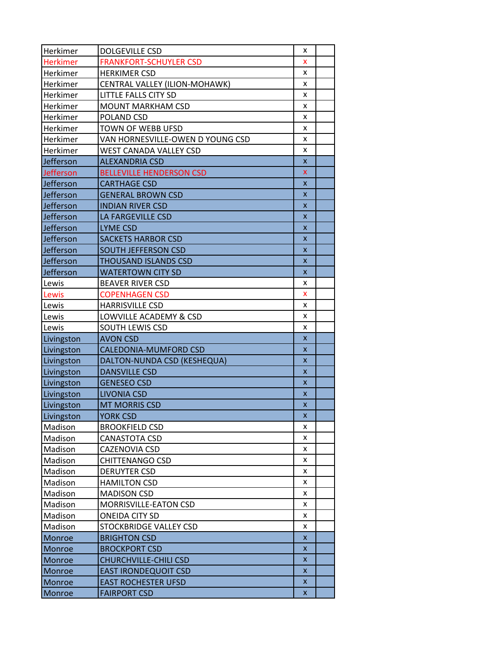| Herkimer        | <b>DOLGEVILLE CSD</b>            | x                  |  |
|-----------------|----------------------------------|--------------------|--|
| <b>Herkimer</b> | <b>FRANKFORT-SCHUYLER CSD</b>    | x                  |  |
| Herkimer        | <b>HERKIMER CSD</b>              | x                  |  |
| Herkimer        | CENTRAL VALLEY (ILION-MOHAWK)    | x                  |  |
| Herkimer        | <b>LITTLE FALLS CITY SD</b>      | x                  |  |
| Herkimer        | <b>MOUNT MARKHAM CSD</b>         | x                  |  |
| Herkimer        | POLAND CSD                       | x                  |  |
| Herkimer        | TOWN OF WEBB UFSD                | x                  |  |
| Herkimer        | VAN HORNESVILLE-OWEN D YOUNG CSD | x                  |  |
| Herkimer        | WEST CANADA VALLEY CSD           | x                  |  |
| Jefferson       | <b>ALEXANDRIA CSD</b>            | $\pmb{\mathsf{x}}$ |  |
| Jefferson       | <b>BELLEVILLE HENDERSON CSD</b>  | X                  |  |
| Jefferson       | <b>CARTHAGE CSD</b>              | $\pmb{\mathsf{x}}$ |  |
| Jefferson       | <b>GENERAL BROWN CSD</b>         | $\pmb{\mathsf{x}}$ |  |
| Jefferson       | <b>INDIAN RIVER CSD</b>          | $\pmb{\mathsf{x}}$ |  |
| Jefferson       | LA FARGEVILLE CSD                | $\mathsf{x}$       |  |
| Jefferson       | <b>LYME CSD</b>                  | X                  |  |
| Jefferson       | <b>SACKETS HARBOR CSD</b>        | X                  |  |
| Jefferson       | <b>SOUTH JEFFERSON CSD</b>       | X                  |  |
| Jefferson       | <b>THOUSAND ISLANDS CSD</b>      | $\mathsf{x}$       |  |
| Jefferson       | <b>WATERTOWN CITY SD</b>         | X                  |  |
| Lewis           | <b>BEAVER RIVER CSD</b>          | x                  |  |
| Lewis           | <b>COPENHAGEN CSD</b>            | X                  |  |
| Lewis           | <b>HARRISVILLE CSD</b>           | x                  |  |
| Lewis           | LOWVILLE ACADEMY & CSD           | x                  |  |
| Lewis           | SOUTH LEWIS CSD                  | x                  |  |
| Livingston      | <b>AVON CSD</b>                  | $\pmb{\mathsf{x}}$ |  |
| Livingston      | CALEDONIA-MUMFORD CSD            | $\pmb{\mathsf{x}}$ |  |
| Livingston      | DALTON-NUNDA CSD (KESHEQUA)      | $\pmb{\mathsf{x}}$ |  |
| Livingston      | <b>DANSVILLE CSD</b>             | $\pmb{\mathsf{X}}$ |  |
| Livingston      | <b>GENESEO CSD</b>               | $\pmb{\mathsf{X}}$ |  |
| Livingston      | <b>LIVONIA CSD</b>               | X                  |  |
| Livingston      | <b>MT MORRIS CSD</b>             | $\pmb{\mathsf{x}}$ |  |
| Livingston      | YORK CSD                         | x                  |  |
| Madison         | <b>BROOKFIELD CSD</b>            | x                  |  |
| Madison         | <b>CANASTOTA CSD</b>             | x                  |  |
| Madison         | CAZENOVIA CSD                    | x                  |  |
| Madison         | <b>CHITTENANGO CSD</b>           | x                  |  |
| Madison         | <b>DERUYTER CSD</b>              | x                  |  |
| Madison         | <b>HAMILTON CSD</b>              | x                  |  |
| Madison         | <b>MADISON CSD</b>               | x                  |  |
| Madison         | MORRISVILLE-EATON CSD            | x                  |  |
| Madison         | <b>ONEIDA CITY SD</b>            | x                  |  |
| Madison         | STOCKBRIDGE VALLEY CSD           | x                  |  |
| Monroe          | <b>BRIGHTON CSD</b>              | $\mathsf{x}$       |  |
| Monroe          | <b>BROCKPORT CSD</b>             | x                  |  |
| Monroe          | <b>CHURCHVILLE-CHILI CSD</b>     | x                  |  |
| Monroe          | <b>EAST IRONDEQUOIT CSD</b>      | X                  |  |
| Monroe          | <b>EAST ROCHESTER UFSD</b>       | X                  |  |
| <b>Monroe</b>   | <b>FAIRPORT CSD</b>              | X.                 |  |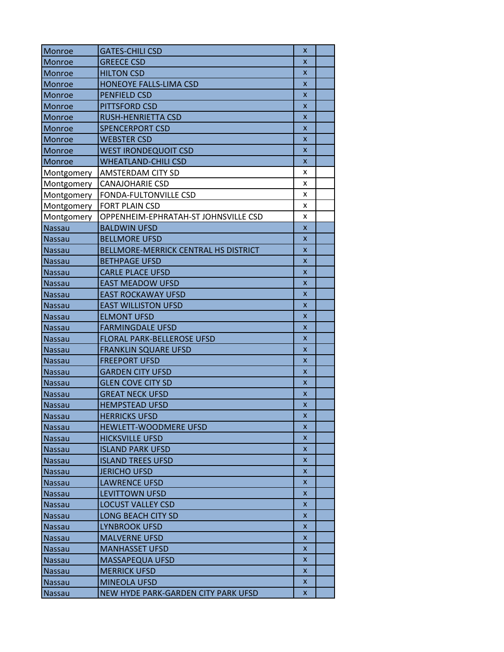| Monroe                         | <b>GATES-CHILI CSD</b>                              | X                         |  |
|--------------------------------|-----------------------------------------------------|---------------------------|--|
| Monroe                         | <b>GREECE CSD</b>                                   | X                         |  |
| Monroe                         | <b>HILTON CSD</b>                                   | X                         |  |
| <b>Monroe</b>                  | HONEOYE FALLS-LIMA CSD                              | X                         |  |
| Monroe                         | <b>PENFIELD CSD</b>                                 | X                         |  |
| Monroe                         | <b>PITTSFORD CSD</b>                                | X                         |  |
| <b>Monroe</b>                  | RUSH-HENRIETTA CSD                                  | X                         |  |
| Monroe                         | <b>SPENCERPORT CSD</b>                              | $\mathsf{x}$              |  |
| Monroe                         | <b>WEBSTER CSD</b>                                  | X                         |  |
| Monroe                         | <b>WEST IRONDEQUOIT CSD</b>                         | $\boldsymbol{\mathsf{x}}$ |  |
| <b>Monroe</b>                  | <b>WHEATLAND-CHILI CSD</b>                          | X                         |  |
| Montgomery                     | <b>AMSTERDAM CITY SD</b>                            | x                         |  |
| Montgomery                     | <b>CANAJOHARIE CSD</b>                              | x                         |  |
| Montgomery                     | FONDA-FULTONVILLE CSD                               | x                         |  |
|                                | <b>FORT PLAIN CSD</b>                               | x                         |  |
| Montgomery<br>Montgomery       | OPPENHEIM-EPHRATAH-ST JOHNSVILLE CSD                | x                         |  |
| <b>Nassau</b>                  | <b>BALDWIN UFSD</b>                                 | X                         |  |
|                                | <b>BELLMORE UFSD</b>                                | $\boldsymbol{\mathsf{x}}$ |  |
| Nassau<br><b>Nassau</b>        | BELLMORE-MERRICK CENTRAL HS DISTRICT                | $\boldsymbol{\mathsf{x}}$ |  |
| <b>Nassau</b>                  | <b>BETHPAGE UFSD</b>                                | X                         |  |
|                                | <b>CARLE PLACE UFSD</b>                             | x                         |  |
| <b>Nassau</b><br><b>Nassau</b> | <b>EAST MEADOW UFSD</b>                             | $\boldsymbol{\mathsf{x}}$ |  |
|                                | <b>EAST ROCKAWAY UFSD</b>                           | X                         |  |
| Nassau<br><b>Nassau</b>        | <b>EAST WILLISTON UFSD</b>                          | X                         |  |
|                                | <b>ELMONT UFSD</b>                                  | X                         |  |
| Nassau                         | <b>FARMINGDALE UFSD</b>                             | $\boldsymbol{\mathsf{x}}$ |  |
| Nassau                         | <b>FLORAL PARK-BELLEROSE UFSD</b>                   | $\boldsymbol{\mathsf{x}}$ |  |
| Nassau                         |                                                     | X                         |  |
| Nassau                         | <b>FRANKLIN SQUARE UFSD</b><br><b>FREEPORT UFSD</b> | X                         |  |
| <b>Nassau</b>                  |                                                     |                           |  |
| <b>Nassau</b>                  | <b>GARDEN CITY UFSD</b>                             | X                         |  |
| <b>Nassau</b>                  | <b>GLEN COVE CITY SD</b>                            | X                         |  |
| <b>Nassau</b>                  | <b>GREAT NECK UFSD</b>                              | X<br>X                    |  |
| <b>Nassau</b>                  | <b>HEMPSTEAD UFSD</b>                               |                           |  |
| <b>Nassau</b>                  | <b>HERRICKS UFSD</b>                                | X                         |  |
| <b>Nassau</b>                  | HEWLETT-WOODMERE UFSD                               | X                         |  |
| Nassau                         | <b>HICKSVILLE UFSD</b>                              | X.                        |  |
| Nassau                         | <b>ISLAND PARK UFSD</b>                             | X                         |  |
| <b>Nassau</b>                  | <b>ISLAND TREES UFSD</b>                            | X.                        |  |
| <b>Nassau</b>                  | <b>JERICHO UFSD</b>                                 | X                         |  |
| Nassau                         | <b>LAWRENCE UFSD</b>                                | x                         |  |
| Nassau                         | <b>LEVITTOWN UFSD</b>                               | x                         |  |
| Nassau                         | <b>LOCUST VALLEY CSD</b>                            | X.                        |  |
| <b>Nassau</b>                  | <b>LONG BEACH CITY SD</b>                           | X                         |  |
| Nassau                         | <b>LYNBROOK UFSD</b>                                | X                         |  |
| Nassau                         | <b>MALVERNE UFSD</b>                                | X                         |  |
| Nassau                         | <b>MANHASSET UFSD</b>                               | X.                        |  |
| <b>Nassau</b>                  | <b>MASSAPEQUA UFSD</b>                              | X                         |  |
| Nassau                         | <b>MERRICK UFSD</b>                                 | X                         |  |
| Nassau                         | <b>MINEOLA UFSD</b>                                 | X                         |  |
| Nassau                         | NEW HYDE PARK-GARDEN CITY PARK UFSD                 | X.                        |  |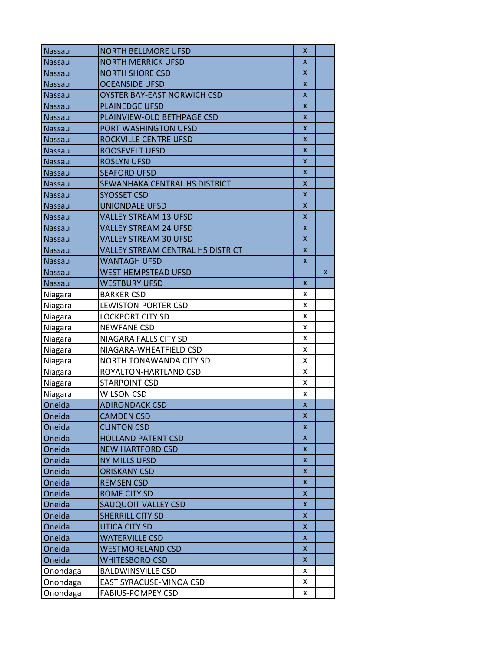| Nassau        | <b>NORTH BELLMORE UFSD</b>        | x                         |   |
|---------------|-----------------------------------|---------------------------|---|
| Nassau        | <b>NORTH MERRICK UFSD</b>         | X                         |   |
| Nassau        | <b>NORTH SHORE CSD</b>            | X                         |   |
| Nassau        | <b>OCEANSIDE UFSD</b>             | $\mathsf{x}$              |   |
| <b>Nassau</b> | OYSTER BAY-EAST NORWICH CSD       | X                         |   |
| Nassau        | <b>PLAINEDGE UFSD</b>             | X                         |   |
| <b>Nassau</b> | PLAINVIEW-OLD BETHPAGE CSD        | $\mathsf{x}$              |   |
| Nassau        | PORT WASHINGTON UFSD              | $\mathsf{x}$              |   |
| <b>Nassau</b> | ROCKVILLE CENTRE UFSD             | X                         |   |
| Nassau        | <b>ROOSEVELT UFSD</b>             | $\boldsymbol{\mathsf{x}}$ |   |
| <b>Nassau</b> | <b>ROSLYN UFSD</b>                | $\boldsymbol{\mathsf{x}}$ |   |
| <b>Nassau</b> | <b>SEAFORD UFSD</b>               | $\mathsf{x}$              |   |
| Nassau        | SEWANHAKA CENTRAL HS DISTRICT     | $\boldsymbol{\mathsf{x}}$ |   |
| Nassau        | <b>SYOSSET CSD</b>                | $\boldsymbol{\mathsf{x}}$ |   |
| <b>Nassau</b> | <b>UNIONDALE UFSD</b>             | $\mathsf{x}$              |   |
| <b>Nassau</b> | <b>VALLEY STREAM 13 UFSD</b>      | X                         |   |
| <b>Nassau</b> | <b>VALLEY STREAM 24 UFSD</b>      | X                         |   |
| <b>Nassau</b> | <b>VALLEY STREAM 30 UFSD</b>      | X                         |   |
| <b>Nassau</b> | VALLEY STREAM CENTRAL HS DISTRICT | X                         |   |
| <b>Nassau</b> | <b>WANTAGH UFSD</b>               | X                         |   |
| Nassau        | <b>WEST HEMPSTEAD UFSD</b>        |                           | X |
| <b>Nassau</b> | <b>WESTBURY UFSD</b>              | X                         |   |
| Niagara       | <b>BARKER CSD</b>                 | x                         |   |
| Niagara       | <b>LEWISTON-PORTER CSD</b>        | x                         |   |
| Niagara       | <b>LOCKPORT CITY SD</b>           | x                         |   |
| Niagara       | <b>NEWFANE CSD</b>                | x                         |   |
| Niagara       | NIAGARA FALLS CITY SD             | x                         |   |
| Niagara       | NIAGARA-WHEATFIELD CSD            | x                         |   |
| Niagara       | NORTH TONAWANDA CITY SD           | x                         |   |
| Niagara       | ROYALTON-HARTLAND CSD             | x                         |   |
| Niagara       | <b>STARPOINT CSD</b>              | x                         |   |
| Niagara       | <b>WILSON CSD</b>                 | x                         |   |
| Oneida        | <b>ADIRONDACK CSD</b>             | $\mathsf{x}$              |   |
| Oneida        | <b>CAMDEN CSD</b>                 | x                         |   |
| Oneida        | <b>CLINTON CSD</b>                | X                         |   |
| Oneida        | <b>HOLLAND PATENT CSD</b>         | X                         |   |
| Oneida        | <b>NEW HARTFORD CSD</b>           | $\boldsymbol{\mathsf{x}}$ |   |
| Oneida        | <b>NY MILLS UFSD</b>              | X                         |   |
| Oneida        | <b>ORISKANY CSD</b>               | X                         |   |
| Oneida        | <b>REMSEN CSD</b>                 | X                         |   |
| Oneida        | <b>ROME CITY SD</b>               | X                         |   |
| Oneida        | <b>SAUQUOIT VALLEY CSD</b>        | X                         |   |
| Oneida        | <b>SHERRILL CITY SD</b>           | X                         |   |
| Oneida        | <b>UTICA CITY SD</b>              | X                         |   |
| Oneida        | <b>WATERVILLE CSD</b>             | X                         |   |
| Oneida        | <b>WESTMORELAND CSD</b>           | X                         |   |
| Oneida        | <b>WHITESBORO CSD</b>             | X                         |   |
| Onondaga      | <b>BALDWINSVILLE CSD</b>          | x                         |   |
| Onondaga      | EAST SYRACUSE-MINOA CSD           | x                         |   |
| Onondaga      | <b>FABIUS-POMPEY CSD</b>          | x                         |   |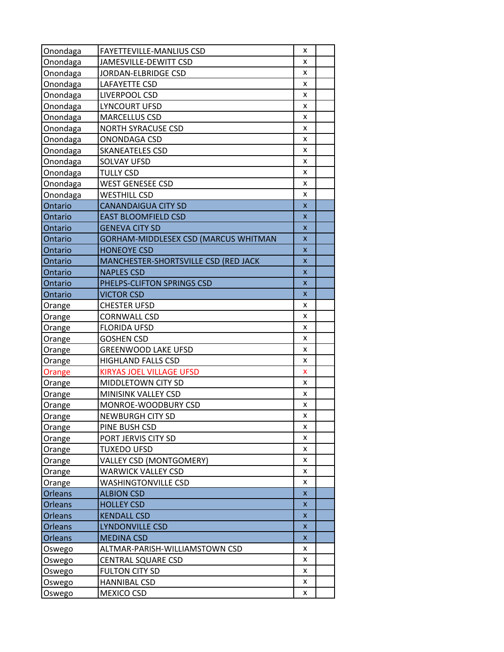|                      | <b>FAYETTEVILLE-MANLIUS CSD</b>                   | x                         |  |
|----------------------|---------------------------------------------------|---------------------------|--|
| Onondaga<br>Onondaga | JAMESVILLE-DEWITT CSD                             | x                         |  |
| Onondaga             | JORDAN-ELBRIDGE CSD                               | x                         |  |
| Onondaga             | <b>LAFAYETTE CSD</b>                              | x                         |  |
|                      | LIVERPOOL CSD                                     | x                         |  |
| Onondaga             | <b>LYNCOURT UFSD</b>                              | x                         |  |
| Onondaga             |                                                   | x                         |  |
| Onondaga<br>Onondaga | <b>MARCELLUS CSD</b><br><b>NORTH SYRACUSE CSD</b> | x                         |  |
| Onondaga             | ONONDAGA CSD                                      | x                         |  |
| Onondaga             | <b>SKANEATELES CSD</b>                            | x                         |  |
|                      | <b>SOLVAY UFSD</b>                                | x                         |  |
| Onondaga             |                                                   | x                         |  |
| Onondaga             | <b>TULLY CSD</b>                                  |                           |  |
| Onondaga             | <b>WEST GENESEE CSD</b>                           | x                         |  |
| Onondaga             | <b>WESTHILL CSD</b>                               | x                         |  |
| Ontario              | <b>CANANDAIGUA CITY SD</b>                        | $\boldsymbol{\mathsf{x}}$ |  |
| Ontario              | <b>EAST BLOOMFIELD CSD</b>                        | X                         |  |
| Ontario              | <b>GENEVA CITY SD</b>                             | X                         |  |
| Ontario              | GORHAM-MIDDLESEX CSD (MARCUS WHITMAN              | $\boldsymbol{\mathsf{x}}$ |  |
| Ontario              | <b>HONEOYE CSD</b>                                | $\boldsymbol{\mathsf{x}}$ |  |
| Ontario              | MANCHESTER-SHORTSVILLE CSD (RED JACK              | $\mathsf{x}$              |  |
| Ontario              | <b>NAPLES CSD</b>                                 | x                         |  |
| Ontario              | PHELPS-CLIFTON SPRINGS CSD                        | X                         |  |
| Ontario              | <b>VICTOR CSD</b>                                 | X                         |  |
| Orange               | <b>CHESTER UFSD</b>                               | x                         |  |
| Orange               | <b>CORNWALL CSD</b>                               | x                         |  |
| Orange               | <b>FLORIDA UFSD</b>                               | x                         |  |
| Orange               | <b>GOSHEN CSD</b>                                 | x                         |  |
| Orange               | <b>GREENWOOD LAKE UFSD</b>                        | x                         |  |
| Orange               | <b>HIGHLAND FALLS CSD</b>                         | x                         |  |
| Orange               | <b>KIRYAS JOEL VILLAGE UFSD</b>                   | x                         |  |
| Orange               | MIDDLETOWN CITY SD                                | x                         |  |
| Orange               | MINISINK VALLEY CSD                               | x                         |  |
| Orange               | MONROE-WOODBURY CSD                               | x                         |  |
| Orange               | <b>NEWBURGH CITY SD</b>                           | x                         |  |
| Orange               | PINE BUSH CSD                                     | x                         |  |
| Orange               | PORT JERVIS CITY SD                               | x                         |  |
| Orange               | <b>TUXEDO UFSD</b>                                | x                         |  |
| Orange               | VALLEY CSD (MONTGOMERY)                           | x                         |  |
| Orange               | <b>WARWICK VALLEY CSD</b>                         | x                         |  |
| Orange               | <b>WASHINGTONVILLE CSD</b>                        | x                         |  |
| <b>Orleans</b>       | <b>ALBION CSD</b>                                 | $\boldsymbol{\mathsf{x}}$ |  |
| Orleans              | <b>HOLLEY CSD</b>                                 | X                         |  |
| Orleans              | <b>KENDALL CSD</b>                                | $\pmb{\times}$            |  |
| Orleans              | <b>LYNDONVILLE CSD</b>                            | $\pmb{\mathsf{x}}$        |  |
| Orleans              | <b>MEDINA CSD</b>                                 | X                         |  |
| Oswego               | ALTMAR-PARISH-WILLIAMSTOWN CSD                    | x                         |  |
| Oswego               | <b>CENTRAL SQUARE CSD</b>                         | x                         |  |
| Oswego               | <b>FULTON CITY SD</b>                             | x                         |  |
| Oswego               | <b>HANNIBAL CSD</b>                               | x                         |  |
|                      |                                                   |                           |  |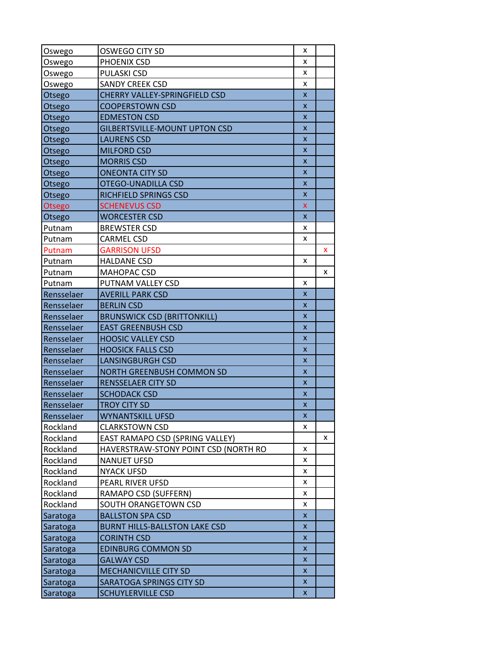| Oswego     | OSWEGO CITY SD                       | x                  |   |
|------------|--------------------------------------|--------------------|---|
| Oswego     | PHOENIX CSD                          | x                  |   |
| Oswego     | PULASKI CSD                          | x                  |   |
| Oswego     | <b>SANDY CREEK CSD</b>               | x                  |   |
| Otsego     | CHERRY VALLEY-SPRINGFIELD CSD        | $\pmb{\mathsf{X}}$ |   |
| Otsego     | <b>COOPERSTOWN CSD</b>               | X                  |   |
| Otsego     | <b>EDMESTON CSD</b>                  | X                  |   |
| Otsego     | <b>GILBERTSVILLE-MOUNT UPTON CSD</b> | X                  |   |
| Otsego     | <b>LAURENS CSD</b>                   | x                  |   |
| Otsego     | <b>MILFORD CSD</b>                   | $\pmb{\mathsf{X}}$ |   |
| Otsego     | <b>MORRIS CSD</b>                    | X                  |   |
| Otsego     | <b>ONEONTA CITY SD</b>               | X                  |   |
| Otsego     | OTEGO-UNADILLA CSD                   | x                  |   |
| Otsego     | RICHFIELD SPRINGS CSD                | X                  |   |
| Otsego     | <b>SCHENEVUS CSD</b>                 | $\mathsf{x}$       |   |
| Otsego     | <b>WORCESTER CSD</b>                 | X                  |   |
| Putnam     | <b>BREWSTER CSD</b>                  | x                  |   |
| Putnam     | <b>CARMEL CSD</b>                    | x                  |   |
| Putnam     | <b>GARRISON UFSD</b>                 |                    | x |
| Putnam     | <b>HALDANE CSD</b>                   | x                  |   |
| Putnam     | MAHOPAC CSD                          |                    | x |
| Putnam     | PUTNAM VALLEY CSD                    | x                  |   |
| Rensselaer | <b>AVERILL PARK CSD</b>              | X.                 |   |
| Rensselaer | <b>BERLIN CSD</b>                    | X                  |   |
| Rensselaer | <b>BRUNSWICK CSD (BRITTONKILL)</b>   | x                  |   |
| Rensselaer | <b>EAST GREENBUSH CSD</b>            | x                  |   |
| Rensselaer | <b>HOOSIC VALLEY CSD</b>             | $\pmb{\mathsf{x}}$ |   |
| Rensselaer | <b>HOOSICK FALLS CSD</b>             | X                  |   |
| Rensselaer | <b>LANSINGBURGH CSD</b>              | X                  |   |
| Rensselaer | NORTH GREENBUSH COMMON SD            | $\pmb{\mathsf{X}}$ |   |
| Rensselaer | <b>RENSSELAER CITY SD</b>            | X                  |   |
| Rensselaer | <b>SCHODACK CSD</b>                  | X                  |   |
| Rensselaer | <b>TROY CITY SD</b>                  | X                  |   |
| Rensselaer | <b>WYNANTSKILL UFSD</b>              | x                  |   |
| Rockland   | <b>CLARKSTOWN CSD</b>                | x                  |   |
| Rockland   | EAST RAMAPO CSD (SPRING VALLEY)      |                    | x |
| Rockland   | HAVERSTRAW-STONY POINT CSD (NORTH RO | x                  |   |
| Rockland   | <b>NANUET UFSD</b>                   | x                  |   |
| Rockland   | <b>NYACK UFSD</b>                    | x                  |   |
| Rockland   | PEARL RIVER UFSD                     | x                  |   |
| Rockland   | RAMAPO CSD (SUFFERN)                 | x                  |   |
| Rockland   | SOUTH ORANGETOWN CSD                 | x                  |   |
| Saratoga   | <b>BALLSTON SPA CSD</b>              | $\mathsf{x}$       |   |
| Saratoga   | <b>BURNT HILLS-BALLSTON LAKE CSD</b> | X.                 |   |
| Saratoga   | <b>CORINTH CSD</b>                   | X                  |   |
| Saratoga   | <b>EDINBURG COMMON SD</b>            | X.                 |   |
| Saratoga   | <b>GALWAY CSD</b>                    | X.                 |   |
| Saratoga   | MECHANICVILLE CITY SD                | X.                 |   |
| Saratoga   | SARATOGA SPRINGS CITY SD             | X.                 |   |
| Saratoga   | <b>SCHUYLERVILLE CSD</b>             | X.                 |   |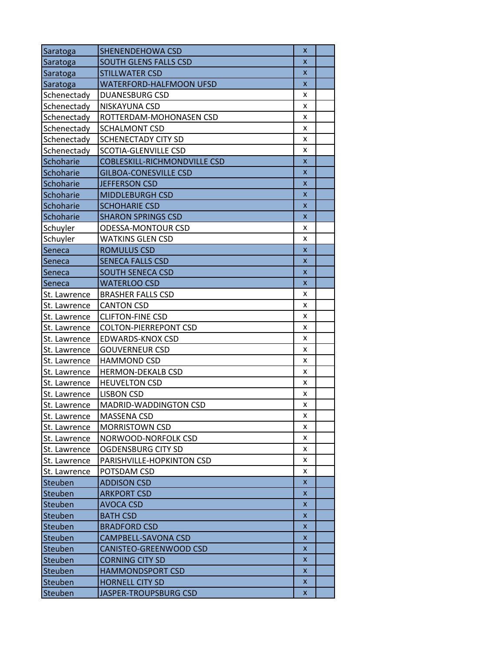| Saratoga       | SHENENDEHOWA CSD                    | x  |  |
|----------------|-------------------------------------|----|--|
| Saratoga       | <b>SOUTH GLENS FALLS CSD</b>        | X  |  |
| Saratoga       | <b>STILLWATER CSD</b>               | X  |  |
| Saratoga       | WATERFORD-HALFMOON UFSD             | X  |  |
| Schenectady    | <b>DUANESBURG CSD</b>               | x  |  |
| Schenectady    | NISKAYUNA CSD                       | x  |  |
| Schenectady    | ROTTERDAM-MOHONASEN CSD             | x  |  |
| Schenectady    | <b>SCHALMONT CSD</b>                | x  |  |
| Schenectady    | <b>SCHENECTADY CITY SD</b>          | x  |  |
| Schenectady    | SCOTIA-GLENVILLE CSD                | x  |  |
| Schoharie      | <b>COBLESKILL-RICHMONDVILLE CSD</b> | X  |  |
| Schoharie      | <b>GILBOA-CONESVILLE CSD</b>        | X  |  |
| Schoharie      | <b>JEFFERSON CSD</b>                | X  |  |
| Schoharie      | <b>MIDDLEBURGH CSD</b>              | X  |  |
| Schoharie      | <b>SCHOHARIE CSD</b>                | X  |  |
| Schoharie      | <b>SHARON SPRINGS CSD</b>           | X  |  |
| Schuyler       | <b>ODESSA-MONTOUR CSD</b>           | x  |  |
| Schuyler       | <b>WATKINS GLEN CSD</b>             | x  |  |
| Seneca         | <b>ROMULUS CSD</b>                  | X  |  |
| Seneca         | <b>SENECA FALLS CSD</b>             | X  |  |
| Seneca         | <b>SOUTH SENECA CSD</b>             | X  |  |
| Seneca         | <b>WATERLOO CSD</b>                 | X  |  |
| St. Lawrence   | <b>BRASHER FALLS CSD</b>            | x  |  |
| St. Lawrence   | <b>CANTON CSD</b>                   | x  |  |
| St. Lawrence   | <b>CLIFTON-FINE CSD</b>             | x  |  |
| St. Lawrence   | <b>COLTON-PIERREPONT CSD</b>        | x  |  |
| St. Lawrence   | EDWARDS-KNOX CSD                    | x  |  |
| St. Lawrence   | <b>GOUVERNEUR CSD</b>               | x  |  |
| St. Lawrence   | <b>HAMMOND CSD</b>                  | x  |  |
| St. Lawrence   | <b>HERMON-DEKALB CSD</b>            | x  |  |
| St. Lawrence   | <b>HEUVELTON CSD</b>                | x  |  |
| St. Lawrence   | <b>LISBON CSD</b>                   | x  |  |
| St. Lawrence   | MADRID-WADDINGTON CSD               | x  |  |
| St. Lawrence   | MASSENA CSD                         | x  |  |
| St. Lawrence   | <b>MORRISTOWN CSD</b>               | x  |  |
| St. Lawrence   | NORWOOD-NORFOLK CSD                 | x  |  |
| St. Lawrence   | <b>OGDENSBURG CITY SD</b>           | x  |  |
| St. Lawrence   | PARISHVILLE-HOPKINTON CSD           | x  |  |
| St. Lawrence   | POTSDAM CSD                         | x  |  |
| Steuben        | <b>ADDISON CSD</b>                  | X. |  |
| Steuben        | <b>ARKPORT CSD</b>                  | x  |  |
| Steuben        | <b>AVOCA CSD</b>                    | X. |  |
| <b>Steuben</b> | <b>BATH CSD</b>                     | x  |  |
| Steuben        | <b>BRADFORD CSD</b>                 | X  |  |
| <b>Steuben</b> | CAMPBELL-SAVONA CSD                 | X  |  |
| <b>Steuben</b> | CANISTEO-GREENWOOD CSD              | X  |  |
| <b>Steuben</b> | <b>CORNING CITY SD</b>              | x  |  |
| Steuben        | <b>HAMMONDSPORT CSD</b>             | x  |  |
| Steuben        | <b>HORNELL CITY SD</b>              | x  |  |
| Steuben        | JASPER-TROUPSBURG CSD               | X  |  |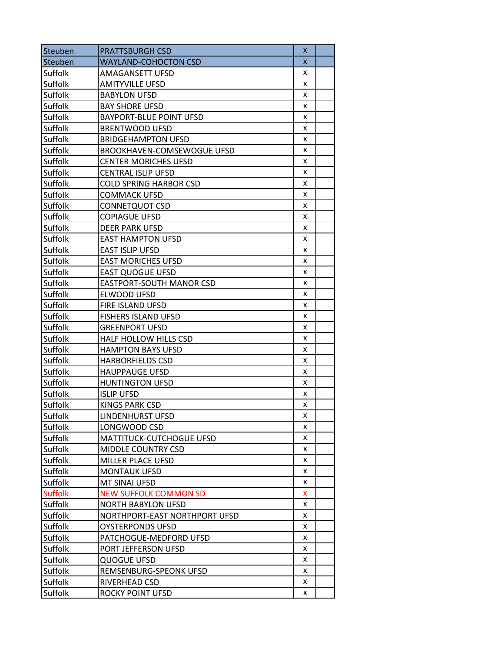| Steuben        | <b>PRATTSBURGH CSD</b>            | x |  |
|----------------|-----------------------------------|---|--|
| Steuben        | <b>WAYLAND-COHOCTON CSD</b>       | X |  |
| Suffolk        | AMAGANSETT UFSD                   | x |  |
| Suffolk        | <b>AMITYVILLE UFSD</b>            | x |  |
| Suffolk        | <b>BABYLON UFSD</b>               | x |  |
| Suffolk        | <b>BAY SHORE UFSD</b>             | x |  |
| Suffolk        | <b>BAYPORT-BLUE POINT UFSD</b>    | x |  |
| Suffolk        | <b>BRENTWOOD UFSD</b>             | x |  |
| Suffolk        | <b>BRIDGEHAMPTON UFSD</b>         | x |  |
| Suffolk        | <b>BROOKHAVEN-COMSEWOGUE UFSD</b> | x |  |
| Suffolk        | <b>CENTER MORICHES UFSD</b>       | x |  |
| Suffolk        | CENTRAL ISLIP UFSD                | x |  |
| Suffolk        | <b>COLD SPRING HARBOR CSD</b>     | x |  |
| Suffolk        | <b>COMMACK UFSD</b>               | x |  |
| Suffolk        | CONNETQUOT CSD                    | x |  |
| Suffolk        | <b>COPIAGUE UFSD</b>              | x |  |
| Suffolk        | <b>DEER PARK UFSD</b>             | x |  |
| Suffolk        | <b>EAST HAMPTON UFSD</b>          | x |  |
| Suffolk        | <b>EAST ISLIP UFSD</b>            | x |  |
| Suffolk        | <b>EAST MORICHES UFSD</b>         | x |  |
| Suffolk        | <b>EAST QUOGUE UFSD</b>           | x |  |
| Suffolk        | <b>EASTPORT-SOUTH MANOR CSD</b>   | x |  |
| Suffolk        | ELWOOD UFSD                       | x |  |
| Suffolk        | FIRE ISLAND UFSD                  | x |  |
| Suffolk        | <b>FISHERS ISLAND UFSD</b>        | x |  |
| Suffolk        | <b>GREENPORT UFSD</b>             | x |  |
| Suffolk        | HALF HOLLOW HILLS CSD             | x |  |
| Suffolk        | <b>HAMPTON BAYS UFSD</b>          | x |  |
| Suffolk        | <b>HARBORFIELDS CSD</b>           | x |  |
| Suffolk        | <b>HAUPPAUGE UFSD</b>             | x |  |
| Suffolk        | <b>HUNTINGTON UFSD</b>            | x |  |
| Suffolk        | <b>ISLIP UFSD</b>                 | x |  |
| Suffolk        | <b>KINGS PARK CSD</b>             | x |  |
| Suffolk        | LINDENHURST UFSD                  | x |  |
| Suffolk        | LONGWOOD CSD                      | x |  |
| Suffolk        | <b>MATTITUCK-CUTCHOGUE UFSD</b>   | x |  |
| Suffolk        | MIDDLE COUNTRY CSD                | x |  |
| Suffolk        | <b>MILLER PLACE UFSD</b>          | x |  |
| Suffolk        | <b>MONTAUK UFSD</b>               | x |  |
| Suffolk        | MT SINAI UFSD                     | x |  |
| <b>Suffolk</b> | <b>NEW SUFFOLK COMMON SD</b>      | x |  |
| Suffolk        | NORTH BABYLON UFSD                | x |  |
| Suffolk        | NORTHPORT-EAST NORTHPORT UFSD     | x |  |
| Suffolk        | OYSTERPONDS UFSD                  | x |  |
| Suffolk        | PATCHOGUE-MEDFORD UFSD            | x |  |
| Suffolk        | PORT JEFFERSON UFSD               | x |  |
| Suffolk        | <b>QUOGUE UFSD</b>                | x |  |
| Suffolk        | REMSENBURG-SPEONK UFSD            | x |  |
| Suffolk        | RIVERHEAD CSD                     | x |  |
| Suffolk        | ROCKY POINT UFSD                  | x |  |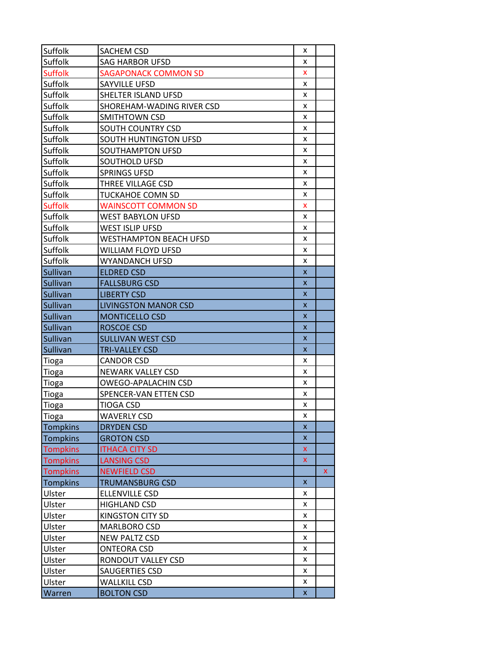| Suffolk         | <b>SACHEM CSD</b>             | x                  |   |
|-----------------|-------------------------------|--------------------|---|
| Suffolk         | <b>SAG HARBOR UFSD</b>        | x                  |   |
| <b>Suffolk</b>  | <b>SAGAPONACK COMMON SD</b>   | X                  |   |
| Suffolk         | SAYVILLE UFSD                 | x                  |   |
| Suffolk         | SHELTER ISLAND UFSD           | x                  |   |
| Suffolk         | SHOREHAM-WADING RIVER CSD     | x                  |   |
| Suffolk         | SMITHTOWN CSD                 | x                  |   |
| Suffolk         | <b>SOUTH COUNTRY CSD</b>      | x                  |   |
| Suffolk         | <b>SOUTH HUNTINGTON UFSD</b>  | x                  |   |
| Suffolk         | SOUTHAMPTON UFSD              | x                  |   |
| Suffolk         | SOUTHOLD UFSD                 | x                  |   |
| Suffolk         | <b>SPRINGS UFSD</b>           | x                  |   |
| Suffolk         | THREE VILLAGE CSD             | x                  |   |
| Suffolk         | <b>TUCKAHOE COMN SD</b>       | x                  |   |
| <b>Suffolk</b>  | <b>WAINSCOTT COMMON SD</b>    | x                  |   |
| Suffolk         | <b>WEST BABYLON UFSD</b>      | x                  |   |
| Suffolk         | WEST ISLIP UFSD               | x                  |   |
| Suffolk         | <b>WESTHAMPTON BEACH UFSD</b> | x                  |   |
| Suffolk         | WILLIAM FLOYD UFSD            | x                  |   |
| Suffolk         | WYANDANCH UFSD                | x                  |   |
| Sullivan        | <b>ELDRED CSD</b>             | $\mathsf{x}$       |   |
| Sullivan        | <b>FALLSBURG CSD</b>          | X                  |   |
| Sullivan        | <b>LIBERTY CSD</b>            | X                  |   |
| Sullivan        | <b>LIVINGSTON MANOR CSD</b>   | $\mathsf{x}$       |   |
| <b>Sullivan</b> | <b>MONTICELLO CSD</b>         | X                  |   |
| Sullivan        | <b>ROSCOE CSD</b>             | X                  |   |
| Sullivan        | <b>SULLIVAN WEST CSD</b>      | X                  |   |
| <b>Sullivan</b> | <b>TRI-VALLEY CSD</b>         | X                  |   |
| Tioga           | <b>CANDOR CSD</b>             | x                  |   |
| Tioga           | <b>NEWARK VALLEY CSD</b>      | x                  |   |
| Tioga           | OWEGO-APALACHIN CSD           | x                  |   |
| Tioga           | SPENCER-VAN ETTEN CSD         | x                  |   |
| Tioga           | TIOGA CSD                     | x                  |   |
| <b>Tioga</b>    | <b>WAVERLY CSD</b>            | x                  |   |
| <b>Tompkins</b> | <b>DRYDEN CSD</b>             | $\pmb{\mathsf{x}}$ |   |
| <b>Tompkins</b> | <b>GROTON CSD</b>             | X                  |   |
| <b>Tompkins</b> | <b>ITHACA CITY SD</b>         | x                  |   |
| <b>Tompkins</b> | <b>LANSING CSD</b>            | x                  |   |
| <b>Tompkins</b> | <b>NEWFIELD CSD</b>           |                    | x |
| <b>Tompkins</b> | <b>TRUMANSBURG CSD</b>        | X                  |   |
| Ulster          | <b>ELLENVILLE CSD</b>         | x                  |   |
| Ulster          | <b>HIGHLAND CSD</b>           | x                  |   |
| Ulster          | <b>KINGSTON CITY SD</b>       | x                  |   |
| Ulster          | <b>MARLBORO CSD</b>           | x                  |   |
| Ulster          | <b>NEW PALTZ CSD</b>          | x                  |   |
| Ulster          | <b>ONTEORA CSD</b>            | x                  |   |
| Ulster          | RONDOUT VALLEY CSD            | x                  |   |
| Ulster          | SAUGERTIES CSD                | x                  |   |
| Ulster          | <b>WALLKILL CSD</b>           | x                  |   |
| Warren          | <b>BOLTON CSD</b>             | X.                 |   |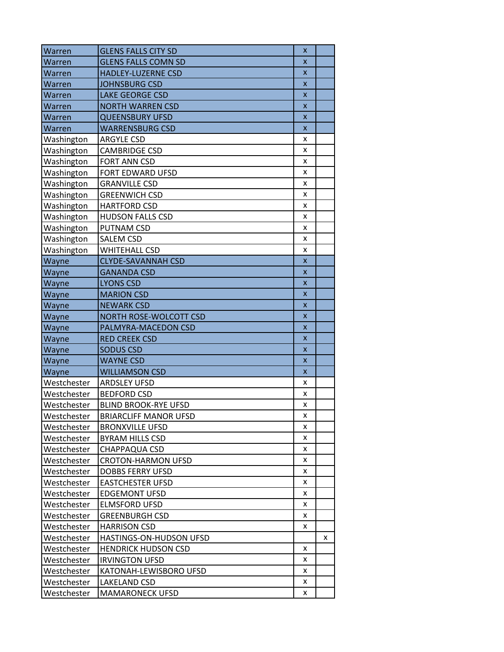| Warren      | <b>GLENS FALLS CITY SD</b>   | X                         |   |
|-------------|------------------------------|---------------------------|---|
| Warren      | <b>GLENS FALLS COMN SD</b>   | $\boldsymbol{\mathsf{x}}$ |   |
| Warren      | HADLEY-LUZERNE CSD           | X                         |   |
| Warren      | <b>JOHNSBURG CSD</b>         | $\boldsymbol{\mathsf{x}}$ |   |
| Warren      | <b>LAKE GEORGE CSD</b>       | X                         |   |
| Warren      | <b>NORTH WARREN CSD</b>      | $\boldsymbol{\mathsf{x}}$ |   |
| Warren      | <b>QUEENSBURY UFSD</b>       | X                         |   |
| Warren      | <b>WARRENSBURG CSD</b>       | X                         |   |
| Washington  | <b>ARGYLE CSD</b>            | x                         |   |
| Washington  | <b>CAMBRIDGE CSD</b>         | x                         |   |
| Washington  | FORT ANN CSD                 | x                         |   |
| Washington  | FORT EDWARD UFSD             | x                         |   |
| Washington  | <b>GRANVILLE CSD</b>         | x                         |   |
| Washington  | <b>GREENWICH CSD</b>         | x                         |   |
| Washington  | <b>HARTFORD CSD</b>          | x                         |   |
| Washington  | <b>HUDSON FALLS CSD</b>      | x                         |   |
| Washington  | PUTNAM CSD                   | x                         |   |
| Washington  | <b>SALEM CSD</b>             | x                         |   |
| Washington  | <b>WHITEHALL CSD</b>         | x                         |   |
| Wayne       | <b>CLYDE-SAVANNAH CSD</b>    | $\overline{\mathsf{x}}$   |   |
| Wayne       | <b>GANANDA CSD</b>           | X                         |   |
| Wayne       | <b>LYONS CSD</b>             | $\boldsymbol{\mathsf{x}}$ |   |
| Wayne       | <b>MARION CSD</b>            | $\boldsymbol{\mathsf{x}}$ |   |
| Wayne       | <b>NEWARK CSD</b>            | X                         |   |
| Wayne       | NORTH ROSE-WOLCOTT CSD       | $\boldsymbol{\mathsf{x}}$ |   |
| Wayne       | PALMYRA-MACEDON CSD          | $\boldsymbol{\mathsf{x}}$ |   |
| Wayne       | <b>RED CREEK CSD</b>         | $\mathsf{x}$              |   |
| Wayne       | <b>SODUS CSD</b>             | X                         |   |
| Wayne       | <b>WAYNE CSD</b>             | $\boldsymbol{\mathsf{x}}$ |   |
| Wayne       | <b>WILLIAMSON CSD</b>        | X                         |   |
| Westchester | <b>ARDSLEY UFSD</b>          | x                         |   |
| Westchester | <b>BEDFORD CSD</b>           | x                         |   |
| Westchester | <b>BLIND BROOK-RYE UFSD</b>  | x                         |   |
| Westchester | <b>BRIARCLIFF MANOR UFSD</b> | x                         |   |
| Westchester | <b>BRONXVILLE UFSD</b>       | x                         |   |
| Westchester | <b>BYRAM HILLS CSD</b>       | x                         |   |
| Westchester | CHAPPAQUA CSD                | x                         |   |
| Westchester | <b>CROTON-HARMON UFSD</b>    | x                         |   |
| Westchester | <b>DOBBS FERRY UFSD</b>      | x                         |   |
| Westchester | <b>EASTCHESTER UFSD</b>      | x                         |   |
| Westchester | <b>EDGEMONT UFSD</b>         | x                         |   |
| Westchester | <b>ELMSFORD UFSD</b>         | x                         |   |
| Westchester | <b>GREENBURGH CSD</b>        | x                         |   |
| Westchester | <b>HARRISON CSD</b>          | x                         |   |
|             |                              |                           | x |
| Westchester | HASTINGS-ON-HUDSON UFSD      |                           |   |
| Westchester | <b>HENDRICK HUDSON CSD</b>   | x                         |   |
| Westchester | <b>IRVINGTON UFSD</b>        | x                         |   |
| Westchester | KATONAH-LEWISBORO UFSD       | x                         |   |
| Westchester | LAKELAND CSD                 | x                         |   |
| Westchester | <b>MAMARONECK UFSD</b>       | x                         |   |